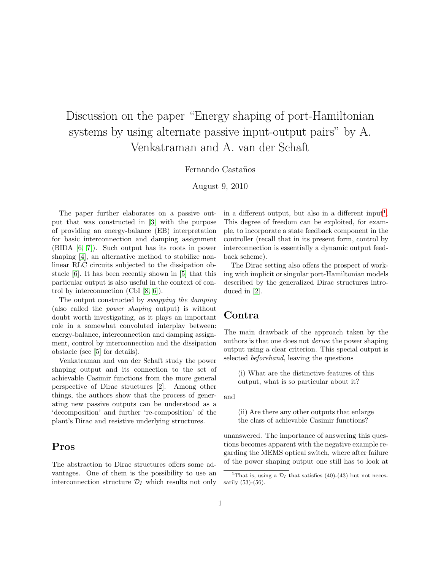# Discussion on the paper "Energy shaping of port-Hamiltonian systems by using alternate passive input-output pairs" by A. Venkatraman and A. van der Schaft

#### Fernando Castaños

August 9, 2010

The paper further elaborates on a passive output that was constructed in [\[3\]](#page-1-0) with the purpose of providing an energy-balance (EB) interpretation for basic interconnection and damping assignment (BIDA [\[6,](#page-1-1) [7\]](#page-1-2)). Such output has its roots in power shaping [\[4\]](#page-1-3), an alternative method to stabilize nonlinear RLC circuits subjected to the dissipation obstacle [\[6\]](#page-1-1). It has been recently shown in [\[5\]](#page-1-4) that this particular output is also useful in the context of control by interconnection (CbI [\[8,](#page-1-5) [6\]](#page-1-1)).

The output constructed by swapping the damping (also called the power shaping output) is without doubt worth investigating, as it plays an important role in a somewhat convoluted interplay between: energy-balance, interconnection and damping assignment, control by interconnection and the dissipation obstacle (see [\[5\]](#page-1-4) for details).

Venkatraman and van der Schaft study the power shaping output and its connection to the set of achievable Casimir functions from the more general perspective of Dirac structures [\[2\]](#page-1-6). Among other things, the authors show that the process of generating new passive outputs can be understood as a 'decomposition' and further 're-composition' of the plant's Dirac and resistive underlying structures.

### Pros

The abstraction to Dirac structures offers some advantages. One of them is the possibility to use an interconnection structure  $\mathcal{D}_I$  which results not only

in a different output, but also in a different input<sup>[1](#page-0-0)</sup>. This degree of freedom can be exploited, for example, to incorporate a state feedback component in the controller (recall that in its present form, control by interconnection is essentially a dynamic output feedback scheme).

The Dirac setting also offers the prospect of working with implicit or singular port-Hamiltonian models described by the generalized Dirac structures introduced in [\[2\]](#page-1-6).

## Contra

The main drawback of the approach taken by the authors is that one does not derive the power shaping output using a clear criterion. This special output is selected beforehand, leaving the questions

(i) What are the distinctive features of this output, what is so particular about it?

and

(ii) Are there any other outputs that enlarge the class of achievable Casimir functions?

unanswered. The importance of answering this questions becomes apparent with the negative example regarding the MEMS optical switch, where after failure of the power shaping output one still has to look at

<span id="page-0-0"></span><sup>&</sup>lt;sup>1</sup>That is, using a  $\mathcal{D}_I$  that satisfies (40)-(43) but not necessarily (53)-(56).